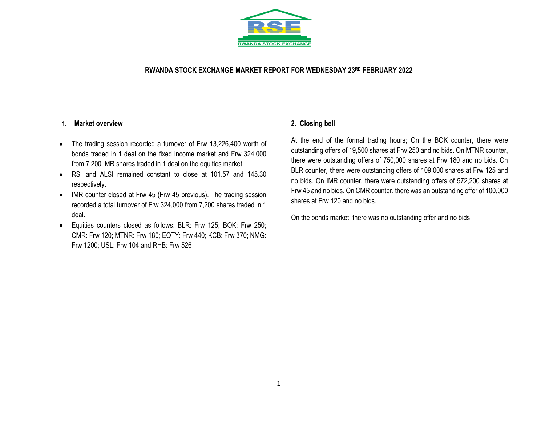

### **RWANDA STOCK EXCHANGE MARKET REPORT FOR WEDNESDAY 23 RD FEBRUARY 2022**

#### **1. Market overview**

- The trading session recorded a turnover of Frw 13,226,400 worth of bonds traded in 1 deal on the fixed income market and Frw 324,000 from 7,200 IMR shares traded in 1 deal on the equities market.
- RSI and ALSI remained constant to close at 101.57 and 145.30 respectively.
- IMR counter closed at Frw 45 (Frw 45 previous). The trading session recorded a total turnover of Frw 324,000 from 7,200 shares traded in 1 deal.
- Equities counters closed as follows: BLR: Frw 125; BOK: Frw 250; CMR: Frw 120; MTNR: Frw 180; EQTY: Frw 440; KCB: Frw 370; NMG: Frw 1200; USL: Frw 104 and RHB: Frw 526

## **2. Closing bell**

At the end of the formal trading hours; On the BOK counter, there were outstanding offers of 19,500 shares at Frw 250 and no bids. On MTNR counter, there were outstanding offers of 750,000 shares at Frw 180 and no bids. On BLR counter, there were outstanding offers of 109,000 shares at Frw 125 and no bids. On IMR counter, there were outstanding offers of 572,200 shares at Frw 45 and no bids. On CMR counter, there was an outstanding offer of 100,000 shares at Frw 120 and no bids.

On the bonds market; there was no outstanding offer and no bids.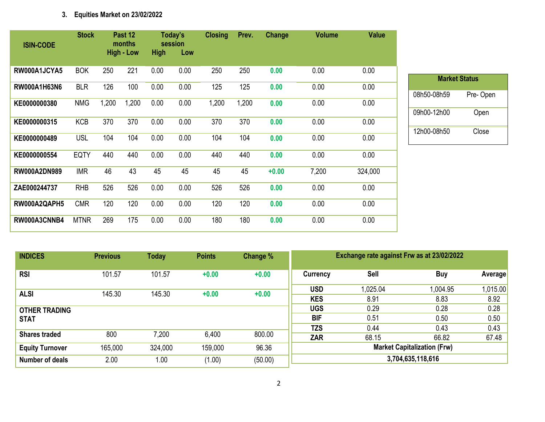# **3. Equities Market on 23/02/2022**

| <b>ISIN-CODE</b>    | <b>Stock</b> |       | Past 12<br>months |             | Today's<br>session | <b>Closing</b> | Prev. | Change  | <b>Volume</b> | <b>Value</b> |
|---------------------|--------------|-------|-------------------|-------------|--------------------|----------------|-------|---------|---------------|--------------|
|                     |              |       | <b>High - Low</b> | <b>High</b> | Low                |                |       |         |               |              |
| RW000A1JCYA5        | <b>BOK</b>   | 250   | 221               | 0.00        | 0.00               | 250            | 250   | 0.00    | 0.00          | 0.00         |
| RW000A1H63N6        | <b>BLR</b>   | 126   | 100               | 0.00        | 0.00               | 125            | 125   | 0.00    | 0.00          | 0.00         |
| KE0000000380        | <b>NMG</b>   | 1,200 | 1,200             | 0.00        | 0.00               | 1,200          | 1,200 | 0.00    | 0.00          | 0.00         |
| KE0000000315        | <b>KCB</b>   | 370   | 370               | 0.00        | 0.00               | 370            | 370   | 0.00    | 0.00          | 0.00         |
| KE0000000489        | <b>USL</b>   | 104   | 104               | 0.00        | 0.00               | 104            | 104   | 0.00    | 0.00          | 0.00         |
| KE0000000554        | <b>EQTY</b>  | 440   | 440               | 0.00        | 0.00               | 440            | 440   | 0.00    | 0.00          | 0.00         |
| <b>RW000A2DN989</b> | <b>IMR</b>   | 46    | 43                | 45          | 45                 | 45             | 45    | $+0.00$ | 7,200         | 324,000      |
| ZAE000244737        | <b>RHB</b>   | 526   | 526               | 0.00        | 0.00               | 526            | 526   | 0.00    | 0.00          | 0.00         |
| RW000A2QAPH5        | <b>CMR</b>   | 120   | 120               | 0.00        | 0.00               | 120            | 120   | 0.00    | 0.00          | 0.00         |
| RW000A3CNNB4        | <b>MTNR</b>  | 269   | 175               | 0.00        | 0.00               | 180            | 180   | 0.00    | 0.00          | 0.00         |

| <b>Market Status</b> |          |  |  |  |  |  |  |  |  |  |
|----------------------|----------|--|--|--|--|--|--|--|--|--|
| 08h50-08h59          | Pre-Open |  |  |  |  |  |  |  |  |  |
| 09h00-12h00          | Open     |  |  |  |  |  |  |  |  |  |
| 12h00-08h50          | Close    |  |  |  |  |  |  |  |  |  |

| <b>INDICES</b>                      | <b>Previous</b> | <b>Today</b> | <b>Points</b> | Change % | Exchange rate against Frw as at 23/02/2022 |                  |                  |                  |  |
|-------------------------------------|-----------------|--------------|---------------|----------|--------------------------------------------|------------------|------------------|------------------|--|
| <b>RSI</b>                          | 101.57          | 101.57       | $+0.00$       | $+0.00$  | Currency                                   | Sell             | <b>Buy</b>       | Average          |  |
| <b>ALSI</b>                         | 145.30          | 145.30       | $+0.00$       | $+0.00$  | <b>USD</b><br><b>KES</b>                   | 1,025.04<br>8.91 | 1,004.95<br>8.83 | 1,015.00<br>8.92 |  |
| <b>OTHER TRADING</b><br><b>STAT</b> |                 |              |               |          | UGS<br><b>BIF</b>                          | 0.29<br>0.51     | 0.28<br>0.50     | 0.28<br>0.50     |  |
| <b>Shares traded</b>                | 800             | 7,200        | 6,400         | 800.00   | <b>TZS</b><br><b>ZAR</b>                   | 0.44<br>68.15    | 0.43<br>66.82    | 0.43<br>67.48    |  |
| <b>Equity Turnover</b>              | 165,000         | 324,000      | 159,000       | 96.36    | <b>Market Capitalization (Frw)</b>         |                  |                  |                  |  |
| <b>Number of deals</b>              | 2.00            | 1.00         | (1.00)        | (50.00)  | 3,704,635,118,616                          |                  |                  |                  |  |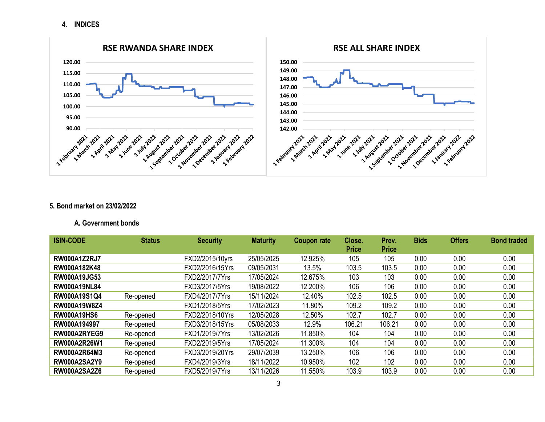**4. INDICES**



### **5. Bond market on 23/02/2022**

### **A. Government bonds**

| <b>ISIN-CODE</b>    | <b>Status</b> | <b>Security</b> | <b>Maturity</b> | <b>Coupon rate</b> | Close.       | Prev.        | <b>Bids</b> | <b>Offers</b> | <b>Bond traded</b> |
|---------------------|---------------|-----------------|-----------------|--------------------|--------------|--------------|-------------|---------------|--------------------|
|                     |               |                 |                 |                    | <b>Price</b> | <b>Price</b> |             |               |                    |
| <b>RW000A1Z2RJ7</b> |               | FXD2/2015/10yrs | 25/05/2025      | 12.925%            | 105          | 105          | 0.00        | 0.00          | 0.00               |
| RW000A182K48        |               | FXD2/2016/15Yrs | 09/05/2031      | 13.5%              | 103.5        | 103.5        | 0.00        | 0.00          | 0.00               |
| <b>RW000A19JG53</b> |               | FXD2/2017/7Yrs  | 17/05/2024      | 12.675%            | 103          | 103          | 0.00        | 0.00          | 0.00               |
| <b>RW000A19NL84</b> |               | FXD3/2017/5Yrs  | 19/08/2022      | 12.200%            | 106          | 106          | 0.00        | 0.00          | 0.00               |
| RW000A19S1Q4        | Re-opened     | FXD4/2017/7Yrs  | 15/11/2024      | 12.40%             | 102.5        | 102.5        | 0.00        | 0.00          | 0.00               |
| <b>RW000A19W8Z4</b> |               | FXD1/2018/5Yrs  | 17/02/2023      | 11.80%             | 109.2        | 109.2        | 0.00        | 0.00          | 0.00               |
| <b>RW000A19HS6</b>  | Re-opened     | FXD2/2018/10Yrs | 12/05/2028      | 12.50%             | 102.7        | 102.7        | 0.00        | 0.00          | 0.00               |
| RW000A194997        | Re-opened     | FXD3/2018/15Yrs | 05/08/2033      | 12.9%              | 106.21       | 106.21       | 0.00        | 0.00          | 0.00               |
| RW000A2RYEG9        | Re-opened     | FXD1/2019/7Yrs  | 13/02/2026      | 11.850%            | 104          | 104          | 0.00        | 0.00          | 0.00               |
| <b>RW000A2R26W1</b> | Re-opened     | FXD2/2019/5Yrs  | 17/05/2024      | 11.300%            | 104          | 104          | 0.00        | 0.00          | 0.00               |
| <b>RW000A2R64M3</b> | Re-opened     | FXD3/2019/20Yrs | 29/07/2039      | 13.250%            | 106          | 106          | 0.00        | 0.00          | 0.00               |
| <b>RW000A2SA2Y9</b> | Re-opened     | FXD4/2019/3Yrs  | 18/11/2022      | 10.950%            | 102          | 102          | 0.00        | 0.00          | 0.00               |
| <b>RW000A2SA2Z6</b> | Re-opened     | FXD5/2019/7Yrs  | 13/11/2026      | 11.550%            | 103.9        | 103.9        | 0.00        | 0.00          | 0.00               |